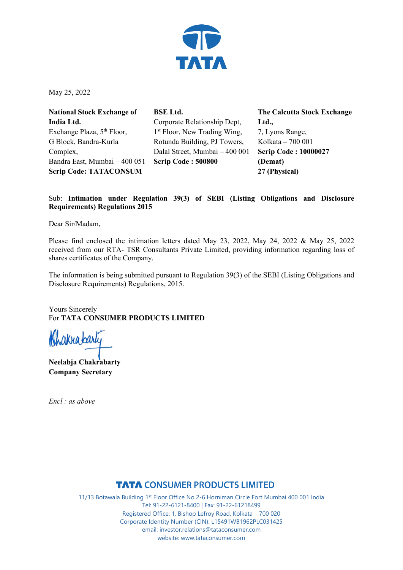

May 25, 2022

**National Stock Exchange of India Ltd.** Exchange Plaza, 5<sup>th</sup> Floor, G Block, Bandra-Kurla Complex, Bandra East, Mumbai – 400 051 **Scrip Code: TATACONSUM**

**BSE Ltd.** Corporate Relationship Dept, 1<sup>st</sup> Floor, New Trading Wing, Rotunda Building, PJ Towers, Dalal Street, Mumbai – 400 001 **Scrip Code : 500800**

**The Calcutta Stock Exchange Ltd.,** 7, Lyons Range, Kolkata – 700 001 **Scrip Code : 10000027 (Demat) 27 (Physical)**

### Sub: **Intimation under Regulation 39(3) of SEBI (Listing Obligations and Disclosure Requirements) Regulations 2015**

Dear Sir/Madam,

Please find enclosed the intimation letters dated May 23, 2022, May 24, 2022 & May 25, 2022 received from our RTA- TSR Consultants Private Limited, providing information regarding loss of shares certificates of the Company.

The information is being submitted pursuant to Regulation 39(3) of the SEBI (Listing Obligations and Disclosure Requirements) Regulations, 2015.

Yours Sincerely For **TATA CONSUMER PRODUCTS LIMITED**

hakrabarti

**Neelabja Chakrabarty Company Secretary** 

*Encl : as above* 

**TATA CONSUMER PRODUCTS LIMITED**<br>11/13 Botawala Building 1<sup>st</sup> Floor Office No 2-6 Horniman Circle Fort Mumbai 400 001 India Tel: 91-22-6121-8400 | Fax: 91-22-61218499 Registered Office: 1, Bishop Lefroy Road, Kolkata – 700 020 Corporate Identity Number (CIN): L15491WB1962PLC031425 email: investor.relations@tataconsumer.com website: www.tataconsumer.com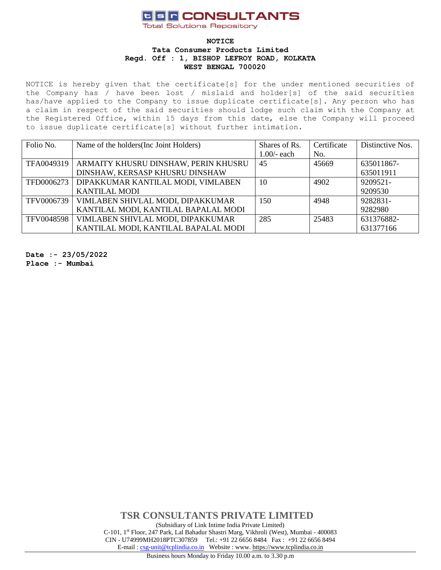## **USF CONSULTANTS**

**Total Solutions Repository** 

### **NOTICE Tata Consumer Products Limited Regd. Off : 1, BISHOP LEFROY ROAD, KOLKATA WEST BENGAL 700020**

NOTICE is hereby given that the certificate[s] for the under mentioned securities of the Company has / have been lost / mislaid and holder[s] of the said securities has/have applied to the Company to issue duplicate certificate[s]. Any person who has a claim in respect of the said securities should lodge such claim with the Company at the Registered Office, within 15 days from this date, else the Company will proceed to issue duplicate certificate[s] without further intimation.

| Folio No.  | Name of the holders (Inc. Joint Holders) | Shares of Rs. | Certificate | Distinctive Nos. |
|------------|------------------------------------------|---------------|-------------|------------------|
|            |                                          | $1.00/-$ each | No.         |                  |
| TFA0049319 | ARMAITY KHUSRU DINSHAW, PERIN KHUSRU     | 45            | 45669       | 635011867-       |
|            | DINSHAW, KERSASP KHUSRU DINSHAW          |               |             | 635011911        |
| TFD0006273 | DIPAKKUMAR KANTILAL MODI, VIMLABEN       | 10            | 4902        | 9209521-         |
|            | <b>KANTILAL MODI</b>                     |               |             | 9209530          |
| TFV0006739 | VIMLABEN SHIVLAL MODI, DIPAKKUMAR        | 150           | 4948        | 9282831-         |
|            | KANTILAL MODI, KANTILAL BAPALAL MODI     |               |             | 9282980          |
| TFV0048598 | VIMLABEN SHIVLAL MODI, DIPAKKUMAR        | 285           | 25483       | 631376882-       |
|            | KANTILAL MODI, KANTILAL BAPALAL MODI     |               |             | 631377166        |

**Date :- 23/05/2022**

**Place :- Mumbai**

**TSR CONSULTANTS PRIVATE LIMITED** (Subsidiary of Link Intime India Private Limited) C-101, 1st Floor, 247 Park, Lal Bahadur Shastri Marg, Vikhroli (West), Mumbai - 400083 CIN - U74999MH2018PTC307859Tel.: +91 22 6656 8484 Fax : +91 22 6656 8494 E-mail [: csg-unit@tcplindia.co.in](mailto:csg-unit@tcplindia.co.in) Website : www. [https://www.tcplindia.co.in](http://www.tsrdarashaw.com/)

Business hours Monday to Friday 10.00 a.m. to 3.30 p.m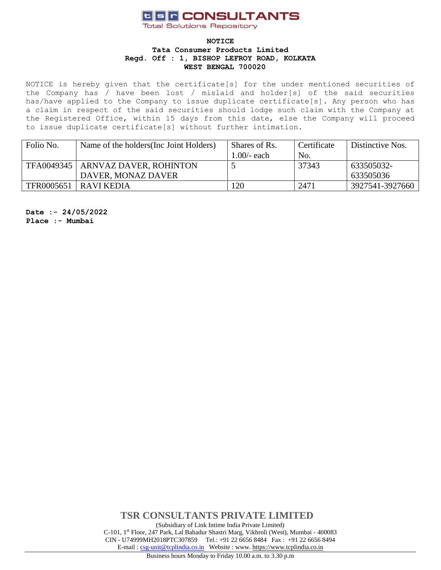# **USF CONSULTANTS**

**Total Solutions Repository** 

#### **NOTICE Tata Consumer Products Limited Regd. Off : 1, BISHOP LEFROY ROAD, KOLKATA WEST BENGAL 700020**

NOTICE is hereby given that the certificate[s] for the under mentioned securities of the Company has / have been lost / mislaid and holder[s] of the said securities has/have applied to the Company to issue duplicate certificate[s]. Any person who has a claim in respect of the said securities should lodge such claim with the Company at the Registered Office, within 15 days from this date, else the Company will proceed to issue duplicate certificate[s] without further intimation.

| Folio No.  | Name of the holders (Inc. Joint Holders) | Shares of Rs. | Certificate | Distinctive Nos. |
|------------|------------------------------------------|---------------|-------------|------------------|
|            |                                          | $1.00/-$ each | No.         |                  |
| TFA0049345 | ARNVAZ DAVER, ROHINTON                   |               | 37343       | 633505032-       |
|            | DAVER, MONAZ DAVER                       |               |             | 633505036        |
| TFR0005651 | RAVI KEDIA                               | 120           | 2471        | 3927541-3927660  |

**Date :- 24/05/2022 Place :- Mumbai**

> **TSR CONSULTANTS PRIVATE LIMITED** (Subsidiary of Link Intime India Private Limited) C-101, 1st Floor, 247 Park, Lal Bahadur Shastri Marg, Vikhroli (West), Mumbai - 400083 CIN - U74999MH2018PTC307859Tel.: +91 22 6656 8484 Fax : +91 22 6656 8494 E-mail [: csg-unit@tcplindia.co.in](mailto:csg-unit@tcplindia.co.in) Website : www. [https://www.tcplindia.co.in](http://www.tsrdarashaw.com/)